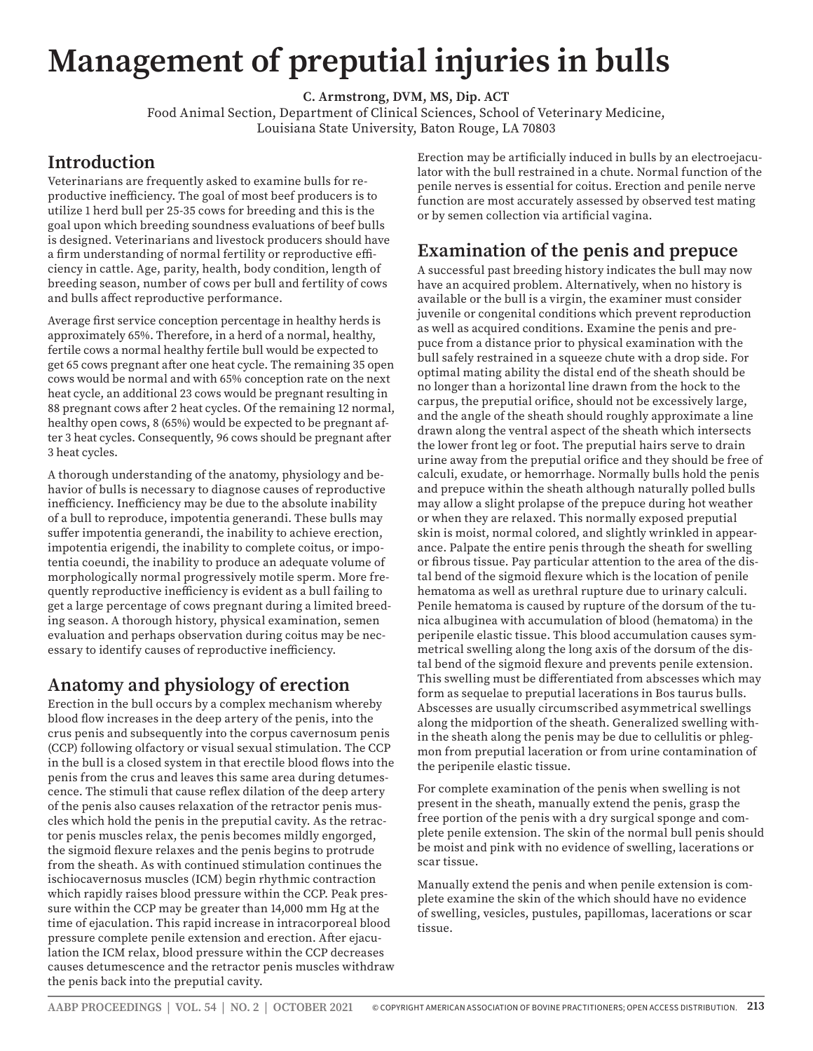# **Management of preputial injuries in bulls**

**C. Armstrong, DVM, MS, Dip. ACT**

Food Animal Section, Department of Clinical Sciences, School of Veterinary Medicine, Louisiana State University, Baton Rouge, LA 70803

#### **Introduction**

Veterinarians are frequently asked to examine bulls for reproductive inefficiency. The goal of most beef producers is to utilize 1 herd bull per 25-35 cows for breeding and this is the goal upon which breeding soundness evaluations of beef bulls is designed. Veterinarians and livestock producers should have a firm understanding of normal fertility or reproductive efficiency in cattle. Age, parity, health, body condition, length of breeding season, number of cows per bull and fertility of cows and bulls affect reproductive performance.

Average first service conception percentage in healthy herds is approximately 65%. Therefore, in a herd of a normal, healthy, fertile cows a normal healthy fertile bull would be expected to get 65 cows pregnant after one heat cycle. The remaining 35 open cows would be normal and with 65% conception rate on the next heat cycle, an additional 23 cows would be pregnant resulting in 88 pregnant cows after 2 heat cycles. Of the remaining 12 normal, healthy open cows, 8 (65%) would be expected to be pregnant after 3 heat cycles. Consequently, 96 cows should be pregnant after 3 heat cycles.

A thorough understanding of the anatomy, physiology and behavior of bulls is necessary to diagnose causes of reproductive inefficiency. Inefficiency may be due to the absolute inability of a bull to reproduce, impotentia generandi. These bulls may suffer impotentia generandi, the inability to achieve erection, impotentia erigendi, the inability to complete coitus, or impotentia coeundi, the inability to produce an adequate volume of morphologically normal progressively motile sperm. More frequently reproductive inefficiency is evident as a bull failing to get a large percentage of cows pregnant during a limited breeding season. A thorough history, physical examination, semen evaluation and perhaps observation during coitus may be necessary to identify causes of reproductive inefficiency.

## **Anatomy and physiology of erection**

Erection in the bull occurs by a complex mechanism whereby blood flow increases in the deep artery of the penis, into the crus penis and subsequently into the corpus cavernosum penis (CCP) following olfactory or visual sexual stimulation. The CCP in the bull is a closed system in that erectile blood flows into the penis from the crus and leaves this same area during detumescence. The stimuli that cause reflex dilation of the deep artery of the penis also causes relaxation of the retractor penis muscles which hold the penis in the preputial cavity. As the retractor penis muscles relax, the penis becomes mildly engorged, the sigmoid flexure relaxes and the penis begins to protrude from the sheath. As with continued stimulation continues the ischiocavernosus muscles (ICM) begin rhythmic contraction which rapidly raises blood pressure within the CCP. Peak pressure within the CCP may be greater than 14,000 mm Hg at the time of ejaculation. This rapid increase in intracorporeal blood pressure complete penile extension and erection. After ejaculation the ICM relax, blood pressure within the CCP decreases causes detumescence and the retractor penis muscles withdraw the penis back into the preputial cavity.

Erection may be artificially induced in bulls by an electroejaculator with the bull restrained in a chute. Normal function of the penile nerves is essential for coitus. Erection and penile nerve function are most accurately assessed by observed test mating or by semen collection via artificial vagina.

## **Examination of the penis and prepuce**

A successful past breeding history indicates the bull may now have an acquired problem. Alternatively, when no history is available or the bull is a virgin, the examiner must consider juvenile or congenital conditions which prevent reproduction as well as acquired conditions. Examine the penis and prepuce from a distance prior to physical examination with the bull safely restrained in a squeeze chute with a drop side. For optimal mating ability the distal end of the sheath should be no longer than a horizontal line drawn from the hock to the carpus, the preputial orifice, should not be excessively large, and the angle of the sheath should roughly approximate a line drawn along the ventral aspect of the sheath which intersects the lower front leg or foot. The preputial hairs serve to drain urine away from the preputial orifice and they should be free of calculi, exudate, or hemorrhage. Normally bulls hold the penis and prepuce within the sheath although naturally polled bulls may allow a slight prolapse of the prepuce during hot weather or when they are relaxed. This normally exposed preputial skin is moist, normal colored, and slightly wrinkled in appearance. Palpate the entire penis through the sheath for swelling or fibrous tissue. Pay particular attention to the area of the distal bend of the sigmoid flexure which is the location of penile hematoma as well as urethral rupture due to urinary calculi. Penile hematoma is caused by rupture of the dorsum of the tunica albuginea with accumulation of blood (hematoma) in the peripenile elastic tissue. This blood accumulation causes symmetrical swelling along the long axis of the dorsum of the distal bend of the sigmoid flexure and prevents penile extension. This swelling must be differentiated from abscesses which may form as sequelae to preputial lacerations in Bos taurus bulls. Abscesses are usually circumscribed asymmetrical swellings along the midportion of the sheath. Generalized swelling within the sheath along the penis may be due to cellulitis or phlegmon from preputial laceration or from urine contamination of the peripenile elastic tissue.

For complete examination of the penis when swelling is not present in the sheath, manually extend the penis, grasp the free portion of the penis with a dry surgical sponge and complete penile extension. The skin of the normal bull penis should be moist and pink with no evidence of swelling, lacerations or scar tissue.

Manually extend the penis and when penile extension is complete examine the skin of the which should have no evidence of swelling, vesicles, pustules, papillomas, lacerations or scar tissue.